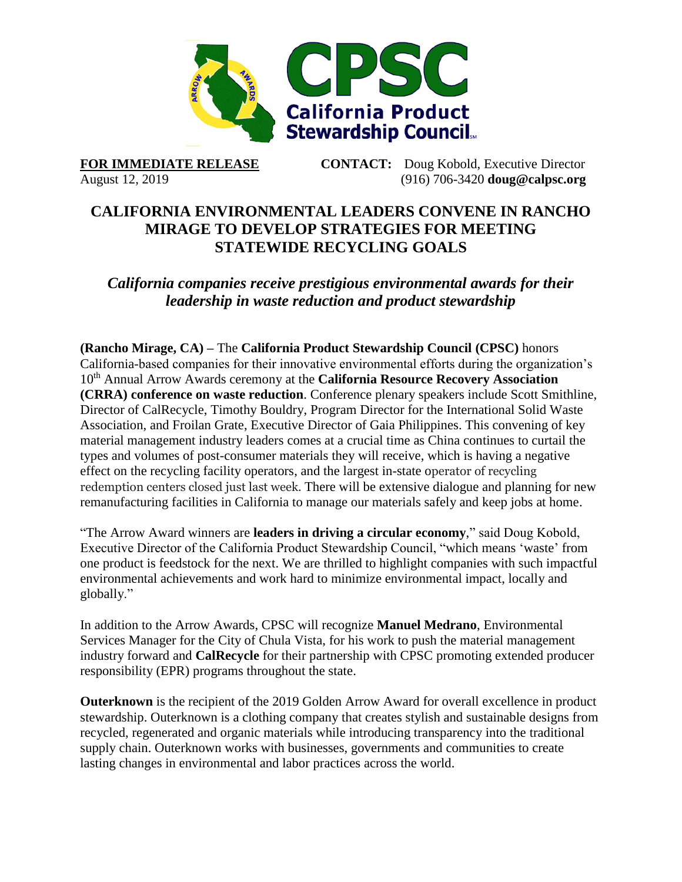

**FOR IMMEDIATE RELEASE CONTACT:** Doug Kobold, Executive Director August 12, 2019 (916) 706-3420 **[doug@calpsc.org](mailto:doug@calpsc.org)**

## **CALIFORNIA ENVIRONMENTAL LEADERS CONVENE IN RANCHO MIRAGE TO DEVELOP STRATEGIES FOR MEETING STATEWIDE RECYCLING GOALS**

*California companies receive prestigious environmental awards for their leadership in waste reduction and product stewardship*

**(Rancho Mirage, CA) –** The **[California Product Stewardship Council](http://www.calpsc.org/) (CPSC)** honors California-based companies for their innovative environmental efforts during the organization's 10th Annual Arrow Awards ceremony at the **[California Resource Recovery Association](http://www.crra.com/) (CRRA) [conference on waste reduction](http://crra.com/conference)**. Conference plenary speakers include Scott Smithline, Director of CalRecycle, Timothy Bouldry, Program Director for the International Solid Waste Association, and Froilan Grate, Executive Director of Gaia Philippines. This convening of key material management industry leaders comes at a crucial time as China continues to [curtail](https://resource-recycling.com/recycling/2018/07/18/china-moves-to-extend-ban-to-all-materials/) the [types and volumes of post-consumer materials](https://resource-recycling.com/recycling/2018/07/18/china-moves-to-extend-ban-to-all-materials/) they will receive, which is having a negative effect on the recycling facility operators, and the largest in-state operator of recycling redemption centers closed just last week. There will be extensive dialogue and planning for new remanufacturing facilities in California to manage our materials safely and keep jobs at home.

"The Arrow Award winners are **leaders in driving a circular economy**," said Doug Kobold, Executive Director of the California Product Stewardship Council, "which means 'waste' from one product is feedstock for the next. We are thrilled to highlight companies with such impactful environmental achievements and work hard to minimize environmental impact, locally and globally."

In addition to the Arrow Awards, CPSC will recognize **Manuel Medrano**, Environmental Services Manager for the City of Chula Vista, for his work to push the material management industry forward and **CalRecycle** for their partnership with CPSC promoting extended producer responsibility (EPR) programs throughout the state.

**[Outerknown](https://www.outerknown.com/)** is the recipient of the 2019 Golden Arrow Award for overall excellence in product stewardship. Outerknown is a clothing company that creates stylish and sustainable designs from recycled, regenerated and organic materials while introducing transparency into the traditional supply chain. Outerknown works with businesses, governments and communities to create lasting changes in environmental and labor practices across the world.